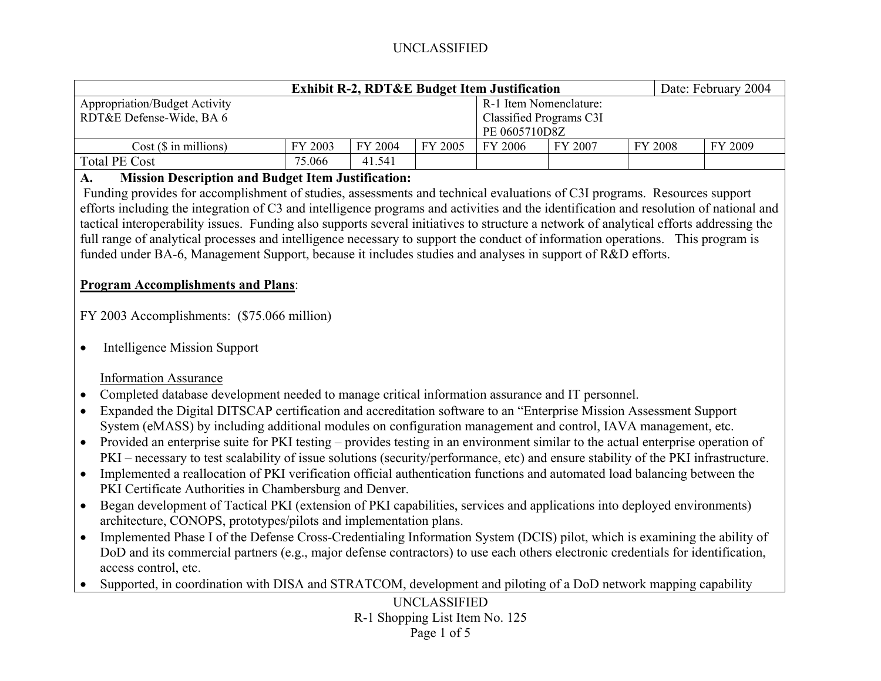|                                                                                                                                              | <b>Exhibit R-2, RDT&amp;E Budget Item Justification</b> |         |                     |                                |         | Date: February 2004 |         |  |  |
|----------------------------------------------------------------------------------------------------------------------------------------------|---------------------------------------------------------|---------|---------------------|--------------------------------|---------|---------------------|---------|--|--|
| <b>Appropriation/Budget Activity</b>                                                                                                         |                                                         |         |                     | R-1 Item Nomenclature:         |         |                     |         |  |  |
| RDT&E Defense-Wide, BA 6                                                                                                                     |                                                         |         |                     | <b>Classified Programs C3I</b> |         |                     |         |  |  |
|                                                                                                                                              |                                                         |         |                     | PE 0605710D8Z                  |         |                     |         |  |  |
| $Cost$ ( $$$ in millions)                                                                                                                    | FY 2003                                                 | FY 2004 | FY 2005             | FY 2006                        | FY 2007 | FY 2008             | FY 2009 |  |  |
| <b>Total PE Cost</b>                                                                                                                         | 75.066                                                  | 41.541  |                     |                                |         |                     |         |  |  |
| <b>Mission Description and Budget Item Justification:</b><br>$\mathbf{A}$ .                                                                  |                                                         |         |                     |                                |         |                     |         |  |  |
| Funding provides for accomplishment of studies, assessments and technical evaluations of C3I programs. Resources support                     |                                                         |         |                     |                                |         |                     |         |  |  |
| efforts including the integration of C3 and intelligence programs and activities and the identification and resolution of national and       |                                                         |         |                     |                                |         |                     |         |  |  |
| tactical interoperability issues. Funding also supports several initiatives to structure a network of analytical efforts addressing the      |                                                         |         |                     |                                |         |                     |         |  |  |
| full range of analytical processes and intelligence necessary to support the conduct of information operations. This program is              |                                                         |         |                     |                                |         |                     |         |  |  |
| funded under BA-6, Management Support, because it includes studies and analyses in support of R&D efforts.                                   |                                                         |         |                     |                                |         |                     |         |  |  |
|                                                                                                                                              |                                                         |         |                     |                                |         |                     |         |  |  |
| <b>Program Accomplishments and Plans:</b>                                                                                                    |                                                         |         |                     |                                |         |                     |         |  |  |
|                                                                                                                                              |                                                         |         |                     |                                |         |                     |         |  |  |
| FY 2003 Accomplishments: (\$75.066 million)                                                                                                  |                                                         |         |                     |                                |         |                     |         |  |  |
|                                                                                                                                              |                                                         |         |                     |                                |         |                     |         |  |  |
| <b>Intelligence Mission Support</b><br>$\bullet$                                                                                             |                                                         |         |                     |                                |         |                     |         |  |  |
|                                                                                                                                              |                                                         |         |                     |                                |         |                     |         |  |  |
| <b>Information Assurance</b>                                                                                                                 |                                                         |         |                     |                                |         |                     |         |  |  |
|                                                                                                                                              |                                                         |         |                     |                                |         |                     |         |  |  |
| Completed database development needed to manage critical information assurance and IT personnel.<br>$\bullet$                                |                                                         |         |                     |                                |         |                     |         |  |  |
| Expanded the Digital DITSCAP certification and accreditation software to an "Enterprise Mission Assessment Support<br>$\bullet$              |                                                         |         |                     |                                |         |                     |         |  |  |
| System (eMASS) by including additional modules on configuration management and control, IAVA management, etc.                                |                                                         |         |                     |                                |         |                     |         |  |  |
| Provided an enterprise suite for PKI testing – provides testing in an environment similar to the actual enterprise operation of<br>$\bullet$ |                                                         |         |                     |                                |         |                     |         |  |  |
| PKI - necessary to test scalability of issue solutions (security/performance, etc) and ensure stability of the PKI infrastructure.           |                                                         |         |                     |                                |         |                     |         |  |  |
| Implemented a reallocation of PKI verification official authentication functions and automated load balancing between the<br>$\bullet$       |                                                         |         |                     |                                |         |                     |         |  |  |
| PKI Certificate Authorities in Chambersburg and Denver.                                                                                      |                                                         |         |                     |                                |         |                     |         |  |  |
| Began development of Tactical PKI (extension of PKI capabilities, services and applications into deployed environments)<br>$\bullet$         |                                                         |         |                     |                                |         |                     |         |  |  |
| architecture, CONOPS, prototypes/pilots and implementation plans.                                                                            |                                                         |         |                     |                                |         |                     |         |  |  |
| Implemented Phase I of the Defense Cross-Credentialing Information System (DCIS) pilot, which is examining the ability of<br>$\bullet$       |                                                         |         |                     |                                |         |                     |         |  |  |
| DoD and its commercial partners (e.g., major defense contractors) to use each others electronic credentials for identification,              |                                                         |         |                     |                                |         |                     |         |  |  |
| access control, etc.                                                                                                                         |                                                         |         |                     |                                |         |                     |         |  |  |
| Supported, in coordination with DISA and STRATCOM, development and piloting of a DoD network mapping capability<br>$\bullet$                 |                                                         |         |                     |                                |         |                     |         |  |  |
|                                                                                                                                              |                                                         |         | <b>UNCLASSIFIED</b> |                                |         |                     |         |  |  |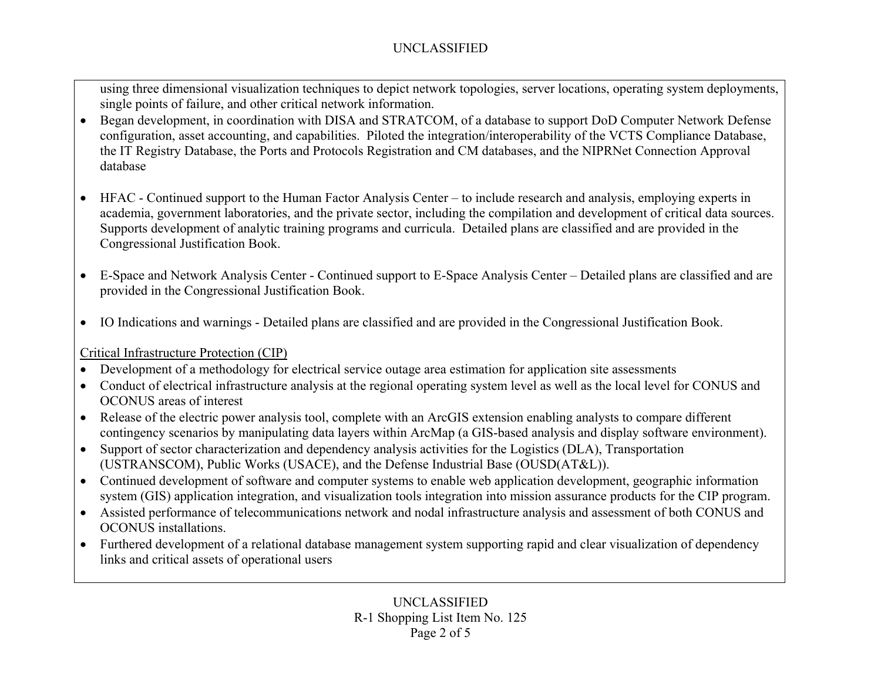using three dimensional visualization techniques to depict network topologies, server locations, operating system deployments, single points of failure, and other critical network information.

- Began development, in coordination with DISA and STRATCOM, of a database to support DoD Computer Network Defense configuration, asset accounting, and capabilities. Piloted the integration/interoperability of the VCTS Compliance Database, the IT Registry Database, the Ports and Protocols Registration and CM databases, and the NIPRNet Connection Approval database
- HFAC Continued support to the Human Factor Analysis Center to include research and analysis, employing experts in academia, government laboratories, and the private sector, including the compilation and development of critical data sources. Supports development of analytic training programs and curricula. Detailed plans are classified and are provided in the Congressional Justification Book.
- E-Space and Network Analysis Center Continued support to E-Space Analysis Center Detailed plans are classified and are provided in the Congressional Justification Book.
- IO Indications and warnings Detailed plans are classified and are provided in the Congressional Justification Book.

Critical Infrastructure Protection (CIP)

- Development of a methodology for electrical service outage area estimation for application site assessments
- Conduct of electrical infrastructure analysis at the regional operating system level as well as the local level for CONUS and OCONUS areas of interest
- Release of the electric power analysis tool, complete with an ArcGIS extension enabling analysts to compare different contingency scenarios by manipulating data layers within ArcMap (a GIS-based analysis and display software environment).
- Support of sector characterization and dependency analysis activities for the Logistics (DLA), Transportation (USTRANSCOM), Public Works (USACE), and the Defense Industrial Base (OUSD(AT&L)).
- Continued development of software and computer systems to enable web application development, geographic information system (GIS) application integration, and visualization tools integration into mission assurance products for the CIP program.
- Assisted performance of telecommunications network and nodal infrastructure analysis and assessment of both CONUS and OCONUS installations.
- Furthered development of a relational database management system supporting rapid and clear visualization of dependency links and critical assets of operational users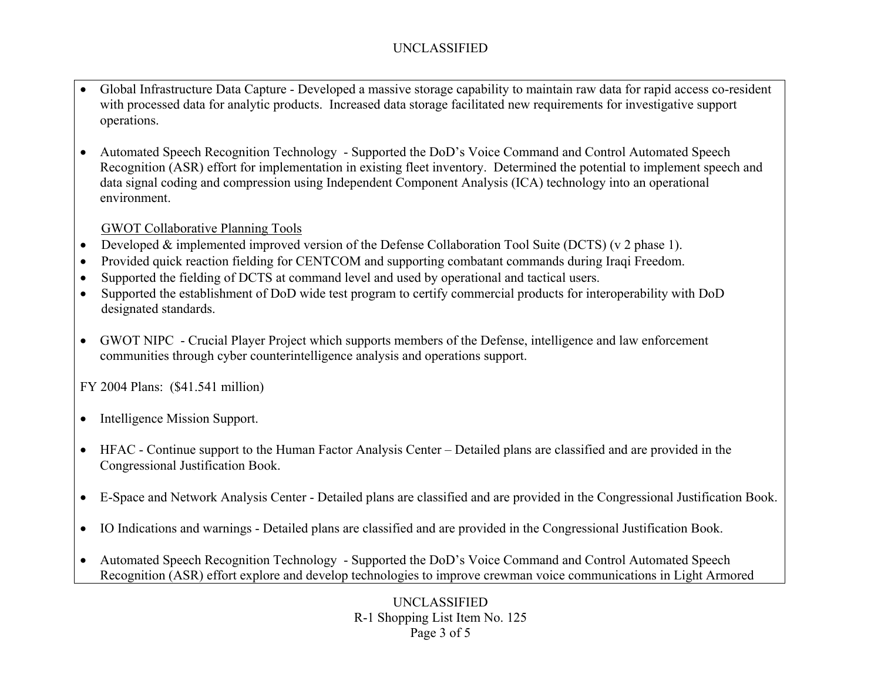- Global Infrastructure Data Capture Developed a massive storage capability to maintain raw data for rapid access co-resident with processed data for analytic products. Increased data storage facilitated new requirements for investigative support operations.
- • Automated Speech Recognition Technology - Supported the DoD's Voice Command and Control Automated Speech Recognition (ASR) effort for implementation in existing fleet inventory. Determined the potential to implement speech and data signal coding and compression using Independent Component Analysis (ICA) technology into an operational environment.

### GWOT Collaborative Planning Tools

- •Developed & implemented improved version of the Defense Collaboration Tool Suite (DCTS) (v 2 phase 1).
- •Provided quick reaction fielding for CENTCOM and supporting combatant commands during Iraqi Freedom.
- •Supported the fielding of DCTS at command level and used by operational and tactical users.
- • Supported the establishment of DoD wide test program to certify commercial products for interoperability with DoD designated standards.
- $\bullet$  GWOT NIPC - Crucial Player Project which supports members of the Defense, intelligence and law enforcement communities through cyber counterintelligence analysis and operations support.

FY 2004 Plans: (\$41.541 million)

- $\bullet$ Intelligence Mission Support.
- HFAC Continue support to the Human Factor Analysis Center Detailed plans are classified and are provided in the Congressional Justification Book.
- E-Space and Network Analysis Center Detailed plans are classified and are provided in the Congressional Justification Book.
- IO Indications and warnings Detailed plans are classified and are provided in the Congressional Justification Book.
- $\bullet$  Automated Speech Recognition Technology - Supported the DoD's Voice Command and Control Automated Speech Recognition (ASR) effort explore and develop technologies to improve crewman voice communications in Light Armored

UNCLASSIFIED R-1 Shopping List Item No. 125 Page 3 of 5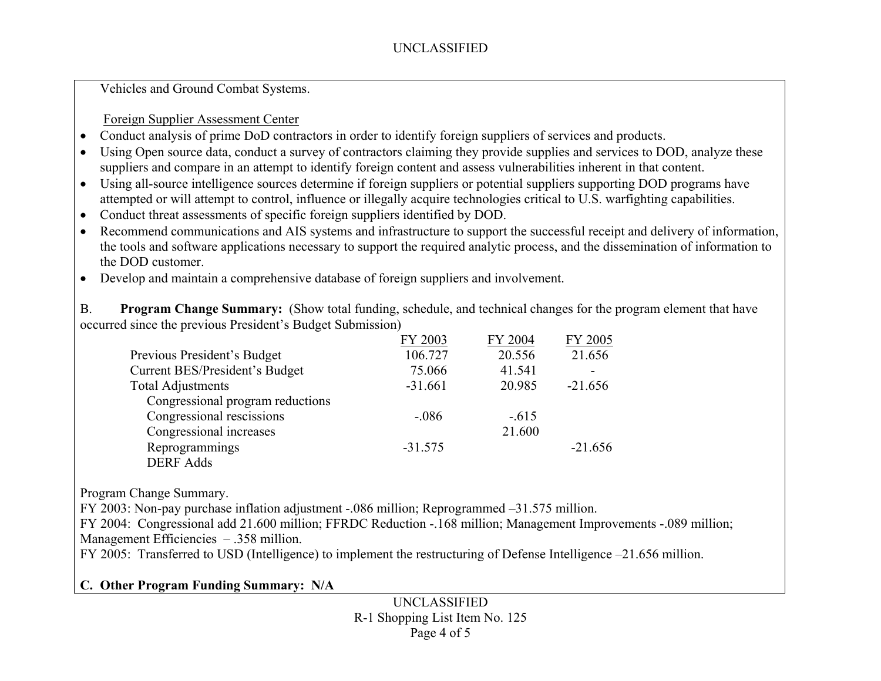Vehicles and Ground Combat Systems.

#### Foreign Supplier Assessment Center

- •Conduct analysis of prime DoD contractors in order to identify foreign suppliers of services and products.
- $\bullet$  Using Open source data, conduct a survey of contractors claiming they provide supplies and services to DOD, analyze these suppliers and compare in an attempt to identify foreign content and assess vulnerabilities inherent in that content.
- Using all-source intelligence sources determine if foreign suppliers or potential suppliers supporting DOD programs have attempted or will attempt to control, influence or illegally acquire technologies critical to U.S. warfighting capabilities.
- •Conduct threat assessments of specific foreign suppliers identified by DOD.
- Recommend communications and AIS systems and infrastructure to support the successful receipt and delivery of information, the tools and software applications necessary to support the required analytic process, and the dissemination of information to the DOD customer.
- Develop and maintain a comprehensive database of foreign suppliers and involvement.

B. **Program Change Summary:** (Show total funding, schedule, and technical changes for the program element that have occurred since the previous President's Budget Submission)

|                                  | FY 2003   | FY 2004 | FY 2005   |
|----------------------------------|-----------|---------|-----------|
| Previous President's Budget      | 106.727   | 20.556  | 21.656    |
| Current BES/President's Budget   | 75.066    | 41.541  |           |
| <b>Total Adjustments</b>         | $-31.661$ | 20.985  | $-21.656$ |
| Congressional program reductions |           |         |           |
| Congressional rescissions        | $-.086$   | $-.615$ |           |
| Congressional increases          |           | 21.600  |           |
| Reprogrammings                   | $-31.575$ |         | $-21.656$ |
| <b>DERF Adds</b>                 |           |         |           |

Program Change Summary.

FY 2003: Non-pay purchase inflation adjustment -.086 million; Reprogrammed –31.575 million.

FY 2004: Congressional add 21.600 million; FFRDC Reduction -.168 million; Management Improvements -.089 million; Management Efficiencies – .358 million.

FY 2005: Transferred to USD (Intelligence) to implement the restructuring of Defense Intelligence –21.656 million.

## **C. Other Program Funding Summary: N/A**